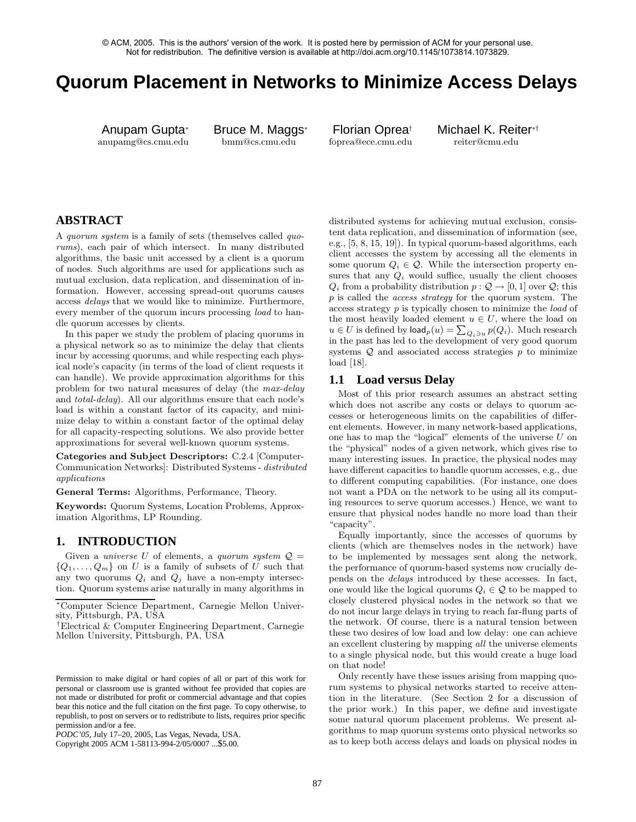# **Quorum Placement in Networks to Minimize Access Delays**

anupamg@cs.cmu.edu bmm@cs.cmu.edu foprea@ece.cmu.edu reiter@cmu.edu

Anupam Gupta<sup>∗</sup> Bruce M. Maggs<sup>∗</sup> Florian Oprea† Michael K. Reiter∗†

# **ABSTRACT**

A *quorum system* is a family of sets (themselves called *quorums*), each pair of which intersect. In many distributed algorithms, the basic unit accessed by a client is a quorum of nodes. Such algorithms are used for applications such as mutual exclusion, data replication, and dissemination of information. However, accessing spread-out quorums causes access *delays* that we would like to minimize. Furthermore, every member of the quorum incurs processing *load* to handle quorum accesses by clients.

In this paper we study the problem of placing quorums in a physical network so as to minimize the delay that clients incur by accessing quorums, and while respecting each physical node's capacity (in terms of the load of client requests it can handle). We provide approximation algorithms for this problem for two natural measures of delay (the *max-delay* and *total-delay*). All our algorithms ensure that each node's load is within a constant factor of its capacity, and minimize delay to within a constant factor of the optimal delay for all capacity-respecting solutions. We also provide better approximations for several well-known quorum systems.

**Categories and Subject Descriptors:** C.2.4 [Computer-Communication Networks]: Distributed Systems - *distributed applications*

**General Terms:** Algorithms, Performance, Theory.

**Keywords:** Quorum Systems, Location Problems, Approximation Algorithms, LP Rounding.

## **1. INTRODUCTION**

Given a *universe* U of elements, a *quorum system*  $Q =$  ${Q_1, \ldots, Q_m}$  on U is a family of subsets of U such that any two quorums  $Q_i$  and  $Q_j$  have a non-empty intersection. Quorum systems arise naturally in many algorithms in

Copyright 2005 ACM 1-58113-994-2/05/0007 ...\$5.00.

distributed systems for achieving mutual exclusion, consistent data replication, and dissemination of information (see, e.g., [5, 8, 15, 19]). In typical quorum-based algorithms, each client accesses the system by accessing all the elements in some quorum  $Q_i \in \mathcal{Q}$ . While the intersection property ensures that any  $Q_i$  would suffice, usually the client chooses  $Q_i$  from a probability distribution  $p: \mathcal{Q} \to [0, 1]$  over  $\mathcal{Q}$ ; this p is called the *access strategy* for the quorum system. The access strategy p is typically chosen to minimize the *load* of the most heavily loaded element  $u \in U$ , where the load on  $u \in U$  is defined by  $\textsf{load}_p(u) = \sum_{Q_i \ni u} p(Q_i)$ . Much research in the past has led to the development of very good quorum in the past has led to the development of very good quorum systems  $Q$  and associated access strategies  $p$  to minimize load [18].

#### **1.1 Load versus Delay**

Most of this prior research assumes an abstract setting which does not ascribe any costs or delays to quorum accesses or heterogeneous limits on the capabilities of different elements. However, in many network-based applications, one has to map the "logical" elements of the universe  $U$  on the "physical" nodes of a given network, which gives rise to many interesting issues. In practice, the physical nodes may have different capacities to handle quorum accesses, e.g., due to different computing capabilities. (For instance, one does not want a PDA on the network to be using all its computing resources to serve quorum accesses.) Hence, we want to ensure that physical nodes handle no more load than their "capacity".

Equally importantly, since the accesses of quorums by clients (which are themselves nodes in the network) have to be implemented by messages sent along the network, the performance of quorum-based systems now crucially depends on the *delays* introduced by these accesses. In fact, one would like the logical quorums  $Q_i \in \mathcal{Q}$  to be mapped to closely clustered physical nodes in the network so that we do not incur large delays in trying to reach far-flung parts of the network. Of course, there is a natural tension between these two desires of low load and low delay: one can achieve an excellent clustering by mapping *all* the universe elements to a single physical node, but this would create a huge load on that node!

Only recently have these issues arising from mapping quorum systems to physical networks started to receive attention in the literature. (See Section 2 for a discussion of the prior work.) In this paper, we define and investigate some natural quorum placement problems. We present algorithms to map quorum systems onto physical networks so as to keep both access delays and loads on physical nodes in

<sup>∗</sup>Computer Science Department, Carnegie Mellon University, Pittsburgh, PA, USA

<sup>†</sup>Electrical & Computer Engineering Department, Carnegie Mellon University, Pittsburgh, PA, USA

Permission to make digital or hard copies of all or part of this work for personal or classroom use is granted without fee provided that copies are not made or distributed for profit or commercial advantage and that copies bear this notice and the full citation on the first page. To copy otherwise, to republish, to post on servers or to redistribute to lists, requires prior specific permission and/or a fee.

*PODC'05,* July 17–20, 2005, Las Vegas, Nevada, USA.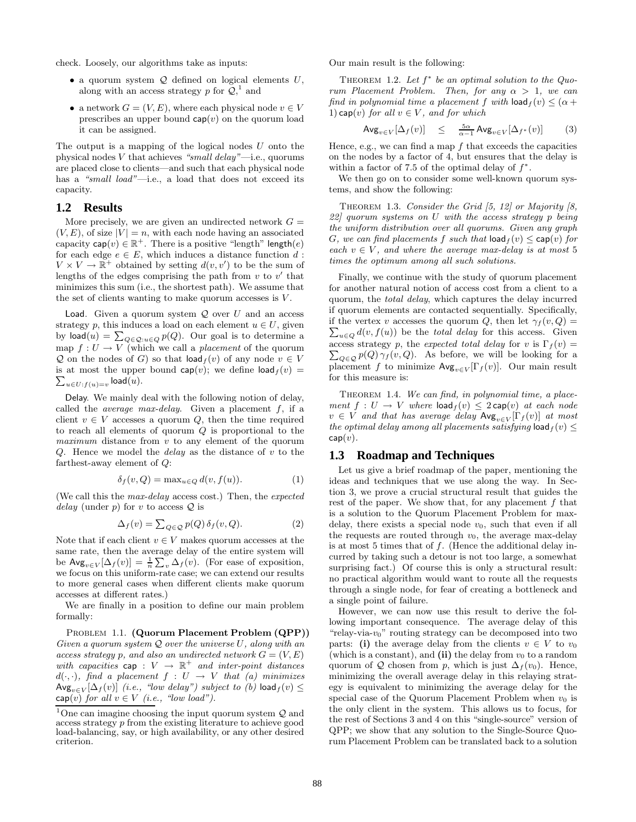check. Loosely, our algorithms take as inputs:

- a quorum system  $Q$  defined on logical elements  $U$ , along with an access strategy p for  $\mathcal{Q}$ <sup>1</sup>, and
- a network  $G = (V, E)$ , where each physical node  $v \in V$ prescribes an upper bound  $cap(v)$  on the quorum load it can be assigned.

The output is a mapping of the logical nodes  $U$  onto the physical nodes V that achieves *"small delay"*—i.e., quorums are placed close to clients—and such that each physical node has a "small load"—i.e., a load that does not exceed its capacity.

#### **1.2 Results**

More precisely, we are given an undirected network  $G =$  $(V, E)$ , of size  $|V| = n$ , with each node having an associated capacity  $\mathsf{cap}(v) \in \mathbb{R}^+$ . There is a positive "length" length(e) for each edge  $e \in E$ , which induces a distance function d:  $V \times V \to \mathbb{R}^+$  obtained by setting  $d(v, v')$  to be the sum of lengths of the edges comprising the path from  $v$  to  $v'$  that minimizes this sum (i.e., the shortest path). We assume that the set of clients wanting to make quorum accesses is  $V$ .

**Load.** Given a quorum system  $Q$  over  $U$  and an access strategy p, this induces a load on each element  $u \in U$ , given by  $\text{load}(u) = \sum_{Q \in \mathcal{Q}: u \in Q} p(Q)$ . Our goal is to determine a map  $f: U \to V$  (which we call a *placement* of the quorum Q on the nodes of G) so that  $\text{load}_f(v)$  of any node  $v \in V$  $\sum_{u\in U: f(u)=v} \mathsf{load}(u).$ is at most the upper bound  $cap(v)$ ; we define  $load_f(v)$  =

Delay. We mainly deal with the following notion of delay, called the *average max-delay*. Given a placement f, if a client  $v \in V$  accesses a quorum Q, then the time required to reach all elements of quorum Q is proportional to the *maximum* distance from v to any element of the quorum Q. Hence we model the *delay* as the distance of v to the farthest-away element of Q:

$$
\delta_f(v, Q) = \max_{u \in Q} d(v, f(u)). \tag{1}
$$

(We call this the *max-delay* access cost.) Then, the *expected*  $delay$  (under p) for v to access  $Q$  is

$$
\Delta_f(v) = \sum_{Q \in \mathcal{Q}} p(Q) \,\delta_f(v, Q). \tag{2}
$$

Note that if each client  $v \in V$  makes quorum accesses at the same rate, then the average delay of the entire system will be  $\Delta v \mathbf{g}_{v \in V}[\Delta_f(v)] = \frac{1}{n} \sum_v \Delta_f(v)$ . (For ease of exposition, we focus on this uniform-rate case; we can extend our results to more general cases when different clients make quorum accesses at different rates.)

We are finally in a position to define our main problem formally:

Problem 1.1. **(Quorum Placement Problem (QPP))** *Given a quorum system* Q *over the universe* U*, along with an access strategy* p, and also an undirected network  $G = (V, E)$ *with capacities* cap :  $V \rightarrow \mathbb{R}^+$  *and inter-point distances*  $d(\cdot, \cdot)$ *, find a placement*  $f : U \to V$  *that* (a) minimizes  $\mathsf{Avg}_{v \in V}[\Delta_f(v)]$  *(i.e., "low delay") subject to (b)*  $\mathsf{load}_f(v) \leq$  $cap(v)$  *for all*  $v \in V$  *(i.e., "low load").* 

Our main result is the following:

Theorem 1.2. *Let* f<sup>∗</sup> *be an optimal solution to the Quorum Placement Problem. Then, for any*  $\alpha > 1$ *, we can find in polynomial time a placement* f *with*  $\text{load}_f(v) \leq (\alpha +$ 1) cap(v) *for all*  $v \in V$ *, and for which* 

$$
\mathsf{Avg}_{v \in V}[\Delta_f(v)] \leq \frac{5\alpha}{\alpha-1} \mathsf{Avg}_{v \in V}[\Delta_{f^*}(v)] \tag{3}
$$

Hence, e.g., we can find a map  $f$  that exceeds the capacities on the nodes by a factor of 4, but ensures that the delay is within a factor of 7.5 of the optimal delay of  $f^*$ .

We then go on to consider some well-known quorum systems, and show the following:

Theorem 1.3. *Consider the Grid [5, 12] or Majority [8, 22] quorum systems on* U *with the access strategy* p *being the uniform distribution over all quorums. Given any graph* G, we can find placements f such that  $\text{load}_f(v) \leq \text{cap}(v)$  for *each*  $v \in V$ *, and where the average max-delay is at most* 5 *times the optimum among all such solutions.*

Finally, we continue with the study of quorum placement for another natural notion of access cost from a client to a quorum, the *total delay*, which captures the delay incurred if quorum elements are contacted sequentially. Specifically, if the vertex v accesses the quorum Q, then let  $\gamma_f(v, Q) =$ <br> $\sum_{v \in \mathcal{U}} \mathcal{U}(v, f(v))$  be the tatal delay for this access. Given  $\sum_{u \in Q} d(v, f(u))$  be the *total delay* for this access. Given  $\sum_{Q \in \mathcal{Q}} p(Q) \gamma_f(v, Q)$ . As before, we will be looking for a procession of the minimize  $\Lambda$  or  $[\Gamma_{\epsilon}(v)]$ . Our main result access strategy p, the *expected total delay* for v is  $\Gamma_f(v)$  = placement f to minimize  $\mathsf{Avg}_{v \in V}[\Gamma_f(v)]$ . Our main result for this measure is: for this measure is:

THEOREM 1.4. We can find, in polynomial time, a place*ment*  $f: U \to V$  *where*  $\text{load}_f(v) \leq 2 \text{cap}(v)$  *at each node*  $v \in V$  *and that has average delay*  $\mathsf{Avg}_{v \in V}[\Gamma_f(v)]$  *at most*<br>the optimal delay among all placements estisting  $\mathsf{load}_v(v)$ *the optimal delay among all placements satisfying*  $\text{load}_f(v) \leq$  $cap(v)$ .

## **1.3 Roadmap and Techniques**

Let us give a brief roadmap of the paper, mentioning the ideas and techniques that we use along the way. In Section 3, we prove a crucial structural result that guides the rest of the paper. We show that, for any placement  $f$  that is a solution to the Quorum Placement Problem for maxdelay, there exists a special node  $v_0$ , such that even if all the requests are routed through  $v_0$ , the average max-delay is at most 5 times that of  $f$ . (Hence the additional delay incurred by taking such a detour is not too large, a somewhat surprising fact.) Of course this is only a structural result: no practical algorithm would want to route all the requests through a single node, for fear of creating a bottleneck and a single point of failure.

However, we can now use this result to derive the following important consequence. The average delay of this "relay-via- $v_0$ " routing strategy can be decomposed into two parts: **(i)** the average delay from the clients  $v \in V$  to  $v_0$ (which is a constant), and (ii) the delay from  $v_0$  to a random quorum of Q chosen from p, which is just  $\Delta_f(v_0)$ . Hence, minimizing the overall average delay in this relaying strategy is equivalent to minimizing the average delay for the special case of the Quorum Placement Problem when  $v_0$  is the only client in the system. This allows us to focus, for the rest of Sections 3 and 4 on this "single-source" version of QPP; we show that any solution to the Single-Source Quorum Placement Problem can be translated back to a solution

<sup>&</sup>lt;sup>1</sup>One can imagine choosing the input quorum system  $Q$  and access strategy p from the existing literature to achieve good load-balancing, say, or high availability, or any other desired criterion.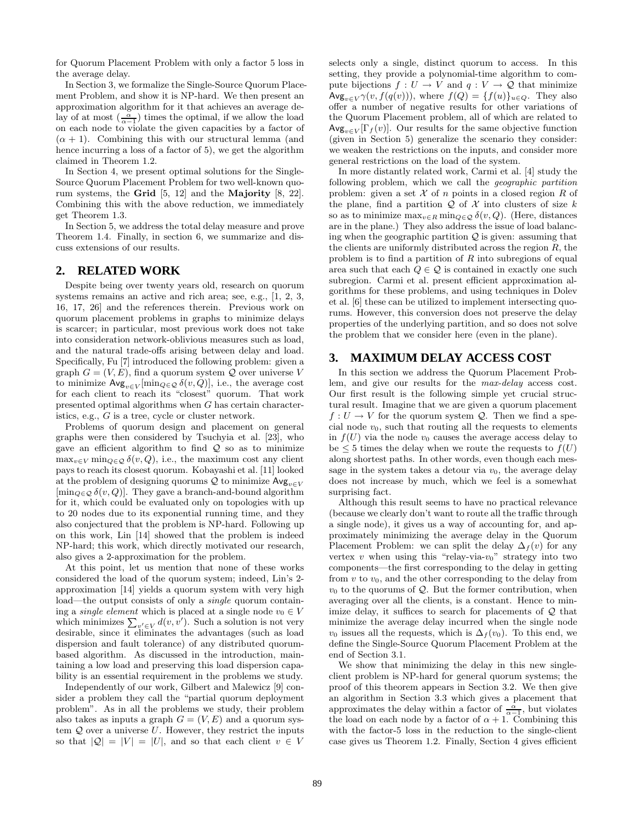for Quorum Placement Problem with only a factor 5 loss in the average delay.

In Section 3, we formalize the Single-Source Quorum Placement Problem, and show it is NP-hard. We then present an approximation algorithm for it that achieves an average delay of at most  $\left(\frac{\alpha}{\alpha-1}\right)$  times the optimal, if we allow the load on each node to violate the given capacities by a factor of  $(\alpha + 1)$ . Combining this with our structural lemma (and hence incurring a loss of a factor of 5), we get the algorithm claimed in Theorem 1.2.

In Section 4, we present optimal solutions for the Single-Source Quorum Placement Problem for two well-known quorum systems, the **Grid** [5, 12] and the **Majority** [8, 22]. Combining this with the above reduction, we immediately get Theorem 1.3.

In Section 5, we address the total delay measure and prove Theorem 1.4. Finally, in section 6, we summarize and discuss extensions of our results.

## **2. RELATED WORK**

Despite being over twenty years old, research on quorum systems remains an active and rich area; see, e.g., [1, 2, 3, 16, 17, 26] and the references therein. Previous work on quorum placement problems in graphs to minimize delays is scarcer; in particular, most previous work does not take into consideration network-oblivious measures such as load, and the natural trade-offs arising between delay and load. Specifically, Fu [7] introduced the following problem: given a graph  $G = (V, E)$ , find a quorum system Q over universe V to minimize  $\text{Avg}_{v \in V}[\min_{Q \in \mathcal{Q}} \delta(v, Q)]$ , i.e., the average cost for each client to reach its "closest" quorum. That work for each client to reach its "closest" quorum. That work presented optimal algorithms when G has certain characteristics, e.g., G is a tree, cycle or cluster network.

Problems of quorum design and placement on general graphs were then considered by Tsuchyia et al. [23], who gave an efficient algorithm to find  $Q$  so as to minimize  $\max_{v \in V} \min_{Q \in \mathcal{Q}} \delta(v, Q)$ , i.e., the maximum cost any client pays to reach its closest quorum. Kobayashi et al. [11] looked at the problem of designing quorums Q to minimize  $\Delta v g_{v \in V}$  $\lim_{\epsilon \to 0} \frac{\partial \zeta}{\partial x} \delta(v, Q)$ . They gave a branch-and-bound algorithm for it, which could be evaluated only on topologies with up to 20 nodes due to its exponential running time, and they also conjectured that the problem is NP-hard. Following up on this work, Lin [14] showed that the problem is indeed NP-hard; this work, which directly motivated our research, also gives a 2-approximation for the problem.

At this point, let us mention that none of these works considered the load of the quorum system; indeed, Lin's 2 approximation [14] yields a quorum system with very high load—the output consists of only a *single* quorum containing a *single element* which is placed at a single node  $v_0 \in V$ which minimizes  $\sum_{v' \in V} d(v, v')$ . Such a solution is not very value in  $\sum_{v' \in V} w(v, v')$ . Such a solution is not very desirable, since it eliminates the advantages (such as load dispersion and fault tolerance) of any distributed quorumbased algorithm. As discussed in the introduction, maintaining a low load and preserving this load dispersion capability is an essential requirement in the problems we study.

Independently of our work, Gilbert and Malewicz [9] consider a problem they call the "partial quorum deployment problem". As in all the problems we study, their problem also takes as inputs a graph  $G = (V, E)$  and a quorum system  $Q$  over a universe  $U$ . However, they restrict the inputs so that  $|Q| = |V| = |U|$ , and so that each client  $v \in V$ 

selects only a single, distinct quorum to access. In this setting, they provide a polynomial-time algorithm to compute bijections  $f: U \to V$  and  $q: V \to Q$  that minimize  $\mathsf{Avg}_{v \in V} \gamma(v, f(q(v))),$  where  $f(Q) = \{f(u)\}_{u \in Q}$ . They also offer a number of positive results for other veristions of offer a number of negative results for other variations of the Quorum Placement problem, all of which are related to  $\Delta \mathbf{v}$ <sub> $\mathbf{g}_{v \in V}[\Gamma_f(v)]$ . Our results for the same objective function (given in Section 5) generalize the secondici-</sub> (given in Section 5) generalize the scenario they consider: we weaken the restrictions on the inputs, and consider more general restrictions on the load of the system.

In more distantly related work, Carmi et al. [4] study the following problem, which we call the *geographic partition* problem: given a set  $\mathcal X$  of n points in a closed region R of the plane, find a partition  $Q$  of  $X$  into clusters of size k so as to minimize  $\max_{v \in R} \min_{Q \in \mathcal{Q}} \delta(v, Q)$ . (Here, distances are in the plane.) They also address the issue of load balancing when the geographic partition  $Q$  is given: assuming that the clients are uniformly distributed across the region  $R$ , the problem is to find a partition of  $R$  into subregions of equal area such that each  $Q \in \mathcal{Q}$  is contained in exactly one such subregion. Carmi et al. present efficient approximation algorithms for these problems, and using techniques in Dolev et al. [6] these can be utilized to implement intersecting quorums. However, this conversion does not preserve the delay properties of the underlying partition, and so does not solve the problem that we consider here (even in the plane).

## **3. MAXIMUM DELAY ACCESS COST**

In this section we address the Quorum Placement Problem, and give our results for the *max-delay* access cost. Our first result is the following simple yet crucial structural result. Imagine that we are given a quorum placement  $f: U \to V$  for the quorum system Q. Then we find a special node  $v_0$ , such that routing all the requests to elements in  $f(U)$  via the node  $v_0$  causes the average access delay to be  $\leq 5$  times the delay when we route the requests to  $f(U)$ along shortest paths. In other words, even though each message in the system takes a detour via  $v_0$ , the average delay does not increase by much, which we feel is a somewhat surprising fact.

Although this result seems to have no practical relevance (because we clearly don't want to route all the traffic through a single node), it gives us a way of accounting for, and approximately minimizing the average delay in the Quorum Placement Problem: we can split the delay  $\Delta_f(v)$  for any vertex  $v$  when using this "relay-via- $v_0$ " strategy into two components—the first corresponding to the delay in getting from  $v$  to  $v_0$ , and the other corresponding to the delay from  $v_0$  to the quorums of  $Q$ . But the former contribution, when averaging over all the clients, is a constant. Hence to minimize delay, it suffices to search for placements of  $Q$  that minimize the average delay incurred when the single node  $v_0$  issues all the requests, which is  $\Delta_f(v_0)$ . To this end, we define the Single-Source Quorum Placement Problem at the end of Section 3.1.

We show that minimizing the delay in this new singleclient problem is NP-hard for general quorum systems; the proof of this theorem appears in Section 3.2. We then give an algorithm in Section 3.3 which gives a placement that approximates the delay within a factor of  $\frac{\alpha}{\alpha-1}$ , but violates<br>the load on each node by a factor of  $\alpha + 1$ . Combining this the load on each node by a factor of  $\alpha + 1$ . Combining this with the factor-5 loss in the reduction to the single-client case gives us Theorem 1.2. Finally, Section 4 gives efficient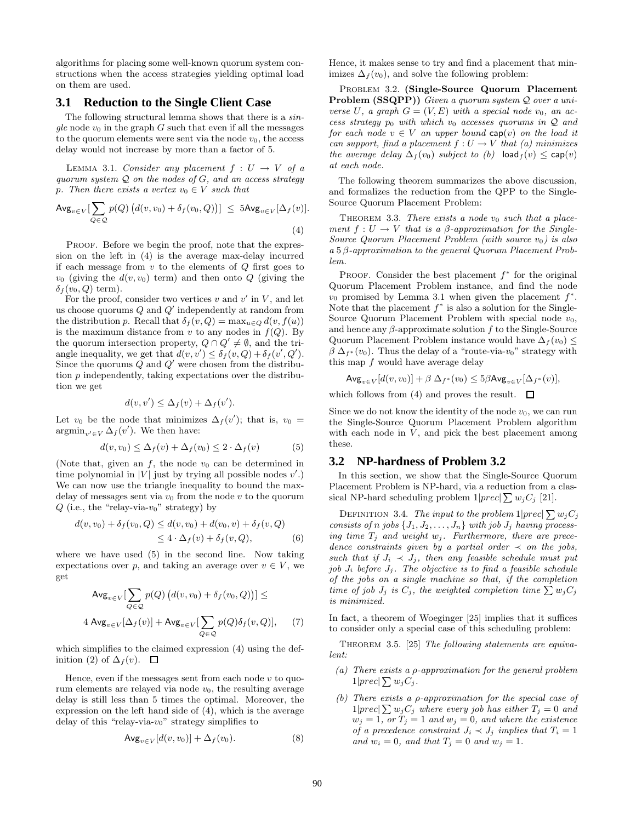algorithms for placing some well-known quorum system constructions when the access strategies yielding optimal load on them are used.

## **3.1 Reduction to the Single Client Case**

The following structural lemma shows that there is a *single* node  $v_0$  in the graph G such that even if all the messages to the quorum elements were sent via the node  $v_0$ , the access delay would not increase by more than a factor of 5.

LEMMA 3.1. *Consider any placement*  $f: U \rightarrow V$  *of a quorum system* Q *on the nodes of* G*, and an access strategy* p. Then there exists a vertex  $v_0 \in V$  such that

$$
\mathsf{Avg}_{v \in V}[\sum_{Q \in \mathcal{Q}} p(Q) \left( d(v, v_0) + \delta_f(v_0, Q) \right)] \leq 5\mathsf{Avg}_{v \in V}[\Delta_f(v)].
$$
\n(4)

PROOF. Before we begin the proof, note that the expression on the left in (4) is the average max-delay incurred if each message from  $v$  to the elements of  $Q$  first goes to  $v_0$  (giving the  $d(v, v_0)$  term) and then onto Q (giving the  $\delta_f(v_0, Q)$  term).

For the proof, consider two vertices  $v$  and  $v'$  in  $V$ , and let us choose quorums  $Q$  and  $Q'$  independently at random from the distribution p. Recall that  $\delta_f(v,Q) = \max_{u \in Q} d(v, f(u))$ is the maximum distance from  $v$  to any nodes in  $f(Q)$ . By the quorum intersection property,  $Q \cap Q' \neq \emptyset$ , and the triangle inequality, we get that  $d(v, v') \leq \delta_f(v, Q) + \delta_f(v', Q')$ .<br>Since the suggestion of  $Q'$  were shown from the distribu-Since the quorums  $Q$  and  $Q'$  were chosen from the distribution p independently, taking expectations over the distribution we get

$$
d(v, v') \leq \Delta_f(v) + \Delta_f(v').
$$

Let  $v_0$  be the node that minimizes  $\Delta_f(v')$ ; that is,  $v_0 =$  $\operatorname{argmin}_{v' \in V} \Delta_f(v')$ . We then have:

$$
d(v, v_0) \leq \Delta_f(v) + \Delta_f(v_0) \leq 2 \cdot \Delta_f(v) \tag{5}
$$

(Note that, given an f, the node  $v_0$  can be determined in time polynomial in |V| just by trying all possible nodes  $v'.$ ) We can now use the triangle inequality to bound the maxdelay of messages sent via  $v_0$  from the node  $v$  to the quorum  $Q$  (i.e., the "relay-via- $v_0$ " strategy) by

$$
d(v, v_0) + \delta_f(v_0, Q) \le d(v, v_0) + d(v_0, v) + \delta_f(v, Q)
$$
  
 
$$
\le 4 \cdot \Delta_f(v) + \delta_f(v, Q),
$$
 (6)

where we have used (5) in the second line. Now taking expectations over p, and taking an average over  $v \in V$ , we get

$$
\mathsf{Avg}_{v \in V}[\sum_{Q \in \mathcal{Q}} p(Q) \left( d(v, v_0) + \delta_f(v_0, Q) \right)] \le
$$
  
4  $\mathsf{Avg}_{v \in V}[\Delta_f(v)] + \mathsf{Avg}_{v \in V}[\sum_{Q \in \mathcal{Q}} p(Q) \delta_f(v, Q)],$  (7)

which simplifies to the claimed expression  $(4)$  using the definition (2) of  $\Delta_f(v)$ . □

Hence, even if the messages sent from each node  $v$  to quorum elements are relayed via node  $v_0$ , the resulting average delay is still less than 5 times the optimal. Moreover, the expression on the left hand side of (4), which is the average delay of this "relay-via- $v_0$ " strategy simplifies to

$$
Avg_{v \in V}[d(v, v_0)] + \Delta_f(v_0). \tag{8}
$$

Hence, it makes sense to try and find a placement that minimizes  $\Delta_f(v_0)$ , and solve the following problem:

Problem 3.2. **(Single-Source Quorum Placement Problem (SSQPP))** *Given a quorum system* Q *over a universe* U, a graph  $G = (V, E)$  with a special node  $v_0$ , an ac*cess strategy*  $p_0$  *with which*  $v_0$  *accesses quorums in*  $Q$  *and for each node*  $v \in V$  *an upper bound*  $\text{cap}(v)$  *on the load it can support, find a placement*  $f: U \to V$  *that (a) minimizes the average delay*  $\Delta_f(v_0)$  *subject to (b)*  $\text{load}_f(v) \leq \text{cap}(v)$ *at each node.*

The following theorem summarizes the above discussion, and formalizes the reduction from the QPP to the Single-Source Quorum Placement Problem:

THEOREM 3.3. *There exists a node*  $v_0$  *such that a placement*  $f: U \to V$  *that is a β-approximation for the Single-Source Quorum Placement Problem (with source*  $v_0$ ) is also *a* 5 β*-approximation to the general Quorum Placement Problem.*

PROOF. Consider the best placement  $f^*$  for the original Quorum Placement Problem instance, and find the node  $v_0$  promised by Lemma 3.1 when given the placement  $f^*$ . Note that the placement  $f^*$  is also a solution for the Single-Source Quorum Placement Problem with special node  $v_0$ , and hence any  $\beta$ -approximate solution f to the Single-Source Quorum Placement Problem instance would have  $\Delta_f(v_0)$  <  $\beta \Delta_{f^*}(v_0)$ . Thus the delay of a "route-via- $v_0$ " strategy with this map  $f$  would have average delay

$$
\mathsf{Avg}_{v\in V}[d(v,v_0)] + \beta \Delta_{f^*}(v_0) \leq 5\beta \mathsf{Avg}_{v\in V}[\Delta_{f^*}(v)],
$$

which follows from (4) and proves the result.  $\Box$ 

Since we do not know the identity of the node  $v_0$ , we can run the Single-Source Quorum Placement Problem algorithm with each node in  $V$ , and pick the best placement among these.

#### **3.2 NP-hardness of Problem 3.2**

In this section, we show that the Single-Source Quorum Placement Problem is NP-hard, via a reduction from a classical NP-hard scheduling problem  $1|prec| \sum w_j C_j$  [21].

DEFINITION 3.4. *The input to the problem*  $1|prec| \sum w_j C_j$ *consists of n jobs*  $\{J_1, J_2, \ldots, J_n\}$  *with job*  $J_j$  *having process*ing time  $T_j$  and weight  $w_j$ . Furthermore, there are prece*dence constraints given by a partial order*  $\prec$  *on the jobs, such that if*  $J_i \prec J_j$ *, then any feasible schedule must put job*  $J_i$  *before*  $J_j$ *. The objective is to find a feasible schedule of the jobs on a single machine so that, if the completion*  $time$  *of job*  $J_j$  *is*  $C_j$ *, the weighted completion time*  $\sum w_j C_j$ *is minimized.*

In fact, a theorem of Woeginger [25] implies that it suffices to consider only a special case of this scheduling problem:

THEOREM 3.5. [25] *The following statements are equivalent:*

- *(a) There exists a* ρ*-approximation for the general problem*  $1|prec|\sum w_jC_j$ .
- *(b) There exists a* ρ*-approximation for the special case of*  $1|prec| \sum w_j C_j$  where every job has either  $T_j = 0$  and  $w_j = 1$ , or  $T_j = 1$  and  $w_j = 0$ , and where the existence *of a precedence constraint*  $J_i \prec J_j$  *implies that*  $T_i = 1$ *and*  $w_i = 0$ *, and that*  $T_j = 0$  *and*  $w_j = 1$ *.*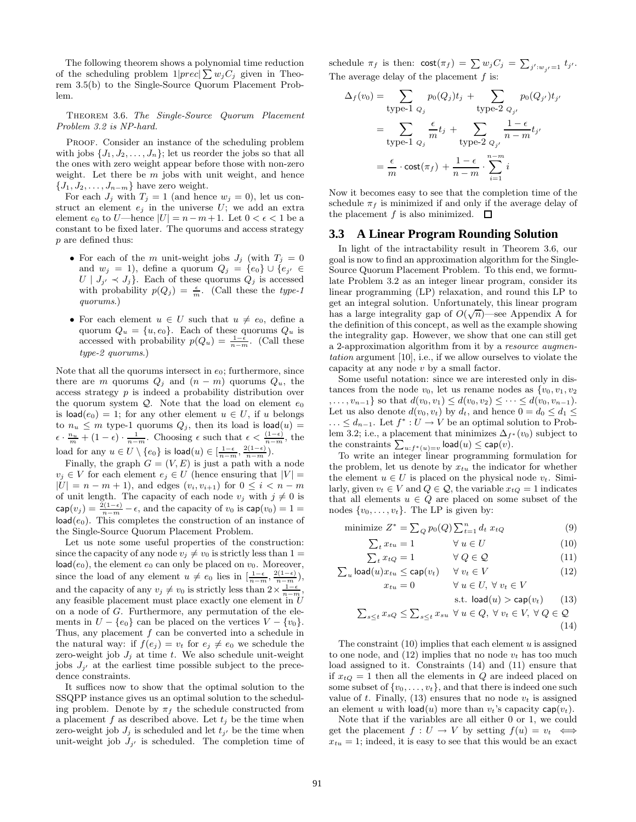The following theorem shows a polynomial time reduction of the scheduling problem  $1|prec| \sum w_j C_j$  given in Theo-<br>with  $2 \sum (k)$  to the Sixule Sause Organization Bloomer Deck rem 3.5(b) to the Single-Source Quorum Placement Problem.

Theorem 3.6. *The Single-Source Quorum Placement Problem 3.2 is NP-hard.*

PROOF. Consider an instance of the scheduling problem with jobs  $\{J_1, J_2, \ldots, J_n\}$ ; let us reorder the jobs so that all the ones with zero weight appear before those with non-zero weight. Let there be  $m$  jobs with unit weight, and hence  ${J_1, J_2, \ldots, J_{n-m}}$  have zero weight.

For each  $J_j$  with  $T_j = 1$  (and hence  $w_j = 0$ ), let us construct an element  $e_j$  in the universe U; we add an extra element  $e_0$  to  $U$ —hence  $|U| = n - m + 1$ . Let  $0 < \epsilon < 1$  be a constant to be fixed later. The quorums and access strategy p are defined thus:

- For each of the m unit-weight jobs  $J_j$  (with  $T_j = 0$ and  $w_j = 1$ ), define a quorum  $Q_j = \{e_0\} \cup \{e_{j'} \in$ <br>  $U \cup U \cup \{e_j\}$ . Each of these guorums Q is assessed  $U \mid J_{j'} \prec J_j$ . Each of these quorums  $Q_j$  is accessed<br>with probability  $g(Q)$ ,  $\epsilon$  (Call these the two 1 with probability  $p(Q_j) = \frac{\epsilon}{m}$ . (Call these the *type-1* quorums) *quorums*.)
- For each element  $u \in U$  such that  $u \neq e_0$ , define a quorum  $Q_u = \{u, e_0\}$ . Each of these quorums  $Q_u$  is accessed with probability  $p(Q_u) = \frac{1-\epsilon}{n-m}$ . (Call these *type-2 quorums*.)

Note that all the quorums intersect in  $e_0$ ; furthermore, since there are m quorums  $Q_j$  and  $(n - m)$  quorums  $Q_u$ , the access strategy  $p$  is indeed a probability distribution over the quorum system  $Q$ . Note that the load on element  $e_0$ is  $\text{load}(e_0) = 1$ ; for any other element  $u \in U$ , if u belongs to  $n_u \leq m$  type-1 quorums  $Q_j$ , then its load is  $\text{load}(u) =$  $\epsilon \cdot \frac{n_u}{m} + (1 - \epsilon) \cdot \frac{1}{n-m}$ . Choosing  $\epsilon$  such that  $\epsilon < \frac{(1-\epsilon)}{n-m}$ , the<br>load for any  $u \in U \setminus \{e_0\}$  is load(u)  $\in [\frac{1-\epsilon}{n-m}, \frac{2(1-\epsilon)}{n-m}]$ .<br>Finally, the graph  $C = (V, F)$  is just a noth with a node

Finally, the graph  $G = (V, E)$  is just a path with a node  $v_j \in V$  for each element  $e_j \in U$  (hence ensuring that  $|V| =$  $|U| = n - m + 1$ , and edges  $(v_i, v_{i+1})$  for  $0 \le i < n - m$ of unit length. The capacity of each node  $v_j$  with  $j \neq 0$  is  $cap(v_j) = \frac{2(1-\epsilon)}{n-m} - \epsilon$ , and the capacity of  $v_0$  is  $cap(v_0) = 1 =$  $\textsf{load}(e_0)$ . This completes the construction of an instance of the Single-Source Quorum Placement Problem.

Let us note some useful properties of the construction: since the capacity of any node  $v_j \neq v_0$  is strictly less than  $1 =$  $\textsf{load}(e_0)$ , the element  $e_0$  can only be placed on  $v_0$ . Moreover, since the load of any element  $u \neq e_0$  lies in  $\left(\frac{1-\epsilon}{n-m}, \frac{2(1-\epsilon)}{n-m}\right)$ , and the capacity of any  $v_j \neq v_0$  is strictly less than  $2 \times \frac{1-\epsilon}{n-m}$ ,<br>any feasible placement must place exactly one element in  $U$ any feasible placement must place exactly one element in  $U$ on a node of G. Furthermore, any permutation of the elements in  $U - \{e_0\}$  can be placed on the vertices  $V - \{v_0\}$ . Thus, any placement  $f$  can be converted into a schedule in the natural way: if  $f(e_j) = v_t$  for  $e_j \neq e_0$  we schedule the zero-weight job  $J_j$  at time t. We also schedule unit-weight jobs  $J_{j'}$  at the earliest time possible subject to the precedence constraints.

It suffices now to show that the optimal solution to the SSQPP instance gives us an optimal solution to the scheduling problem. Denote by  $\pi_f$  the schedule constructed from a placement f as described above. Let  $t_j$  be the time when zero-weight job  $J_j$  is scheduled and let  $t_{j'}$  be the time when<br>unit mainht job  $J_j$  is scheduled. The completion time of unit-weight job  $J_{j'}$  is scheduled. The completion time of

schedule  $\pi_f$  is then:  $\text{cost}(\pi_f) = \sum w_j C_j = \sum_{j':w_{j'}=1} t_{j'}.$ The average delay of the placement  $f$  is:

$$
\Delta_f(v_0) = \sum_{\text{type-1 } Q_j} p_0(Q_j)t_j + \sum_{\text{type-2 } Q_{j'}} p_0(Q_{j'})t_{j'}
$$
\n
$$
= \sum_{\text{type-1 } Q_j} \frac{\epsilon}{m} t_j + \sum_{\text{type-2 } Q_{j'}} \frac{1 - \epsilon}{n - m} t_{j'}
$$
\n
$$
= \frac{\epsilon}{m} \cdot \text{cost}(\pi_f) + \frac{1 - \epsilon}{n - m} \cdot \sum_{i=1}^{n - m} i
$$

Now it becomes easy to see that the completion time of the schedule  $\pi_f$  is minimized if and only if the average delay of the placement f is also minimized.  $\square$ 

#### **3.3 A Linear Program Rounding Solution**

In light of the intractability result in Theorem 3.6, our goal is now to find an approximation algorithm for the Single-Source Quorum Placement Problem. To this end, we formulate Problem 3.2 as an integer linear program, consider its linear programming (LP) relaxation, and round this LP to get an integral solution. Unfortunately, this linear program get an integral solution. Unfortunately, this linear program<br>has a large integrality gap of  $O(\sqrt{n})$ —see Appendix A for the definition of this concept, as well as the example showing the integrality gap. However, we show that one can still get a 2-approximation algorithm from it by a *resource augmentation* argument [10], i.e., if we allow ourselves to violate the capacity at any node  $v$  by a small factor.

Some useful notation: since we are interested only in distances from the node  $v_0$ , let us rename nodes as  $\{v_0, v_1, v_2\}$  $, \ldots, v_{n-1}$ } so that  $d(v_0, v_1) \leq d(v_0, v_2) \leq \cdots \leq d(v_0, v_{n-1})$ . Let us also denote  $d(v_0, v_t)$  by  $d_t$ , and hence  $0 = d_0 \leq d_1 \leq$ ...  $\leq d_{n-1}$ . Let  $f^* : U \to V$  be an optimal solution to Problem 3.2; i.e., a placement that minimizes  $\Delta_{f^*}(v_0)$  subject to the constraints  $\sum_{u:f^*(u)=v} \text{load}(u) \le \text{cap}(v)$ .<br>To write an integer linear programming

To write an integer linear programming formulation for the problem, let us denote by  $x_{tu}$  the indicator for whether the element  $u \in U$  is placed on the physical node  $v_t$ . Similarly, given  $v_t \in V$  and  $Q \in \mathcal{Q}$ , the variable  $x_{tQ} = 1$  indicates that all elements  $u \in Q$  are placed on some subset of the nodes  $\{v_0,\ldots,v_t\}$ . The LP is given by:

$$
\text{minimize } Z^* = \sum_{Q} p_0(Q) \sum_{t=1}^n d_t \ x_{tQ} \tag{9}
$$

$$
\sum_{t} x_{tu} = 1 \qquad \forall u \in U \tag{10}
$$

$$
\sum_{t} x_{t} Q = 1 \qquad \forall Q \in \mathcal{Q} \tag{11}
$$

$$
\sum_{u} \text{load}(u)x_{tu} \le \text{cap}(v_t) \quad \forall v_t \in V
$$
\n
$$
x_{tu} = 0 \qquad \forall u \in U, \forall v_t \in V
$$
\n
$$
(12)
$$

$$
\vee \ a \subset \circlearrowright, \vee \circ \iota \subset \vee
$$

$$
\text{s.t. } \text{load}(u) > \text{cap}(v_t) \tag{13}
$$

$$
\sum_{s \leq t} x_{sQ} \leq \sum_{s \leq t} x_{su} \ \forall \ u \in Q, \ \forall \ v_{t} \in V, \ \forall \ Q \in \mathcal{Q}
$$
\n
$$
\tag{14}
$$

The constraint  $(10)$  implies that each element u is assigned to one node, and  $(12)$  implies that no node  $v_t$  has too much load assigned to it. Constraints (14) and (11) ensure that if  $x_{tQ} = 1$  then all the elements in Q are indeed placed on some subset of  $\{v_0,\ldots,v_t\}$ , and that there is indeed one such value of t. Finally,  $(13)$  ensures that no node  $v_t$  is assigned an element u with  $\text{load}(u)$  more than  $v_t$ 's capacity cap $(v_t)$ .

Note that if the variables are all either 0 or 1, we could get the placement  $f: U \to V$  by setting  $f(u) = v_t \iff$  $x_{tu} = 1$ ; indeed, it is easy to see that this would be an exact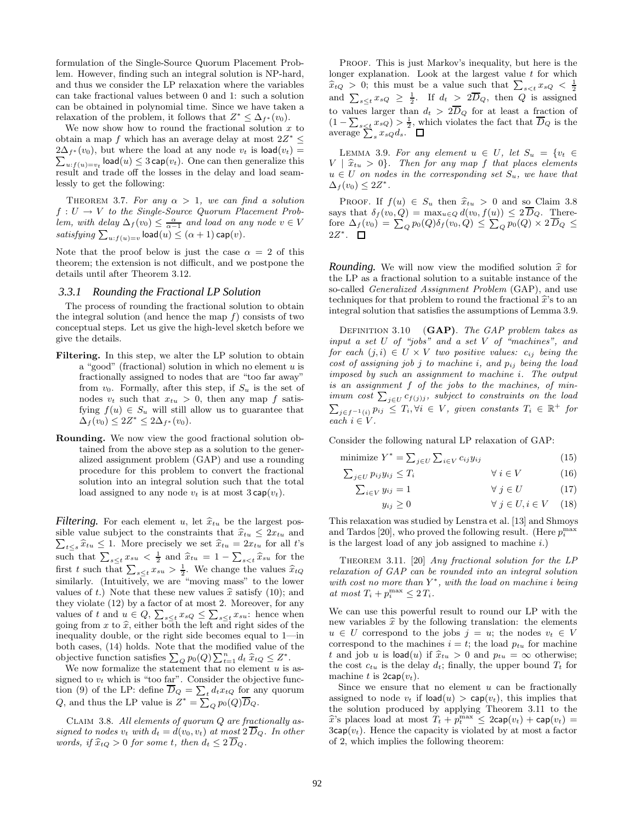formulation of the Single-Source Quorum Placement Problem. However, finding such an integral solution is NP-hard, and thus we consider the LP relaxation where the variables can take fractional values between 0 and 1: such a solution can be obtained in polynomial time. Since we have taken a relaxation of the problem, it follows that  $Z^* \leq \Delta_{f^*}(v_0)$ .

We now show how to round the fractional solution  $x$  to obtain a map f which has an average delay at most  $2Z^*$  $2\Delta_{f^*}(v_0)$ , but where the load at any node  $v_t$  is load $(v_t) = \sum_{k=1}^{\infty} \log_2(v_k)$  $\sum_{u:f(u)=v_t} \text{load}(u) \leq 3 \text{cap}(v_t)$ . One can then generalize this result and trade off the losses in the delay and load seamlessly to get the following:

THEOREM 3.7. For any  $\alpha > 1$ , we can find a solution  $f: U \to V$  to the Single-Source Quorum Placement Prob*lem, with delay*  $\Delta_f(v_0) \leq \frac{\alpha}{\alpha - 1}$  *and load on any node*  $v \in V$  *satisfying*  $\sum_{u : f(u) = v} \text{load}(u) \leq (\alpha + 1) \text{cap}(v)$ *.* 

Note that the proof below is just the case  $\alpha = 2$  of this theorem; the extension is not difficult, and we postpone the details until after Theorem 3.12.

#### *3.3.1 Rounding the Fractional LP Solution*

The process of rounding the fractional solution to obtain the integral solution (and hence the map  $f$ ) consists of two conceptual steps. Let us give the high-level sketch before we give the details.

- **Filtering.** In this step, we alter the LP solution to obtain a "good" (fractional) solution in which no element  $u$  is fractionally assigned to nodes that are "too far away" from  $v_0$ . Formally, after this step, if  $S_u$  is the set of nodes  $v_t$  such that  $x_{tu} > 0$ , then any map f satisfying  $f(u) \in S_u$  will still allow us to guarantee that  $\Delta_f(v_0) \leq 2Z^* \leq 2\Delta_{f^*}(v_0).$
- **Rounding.** We now view the good fractional solution obtained from the above step as a solution to the generalized assignment problem (GAP) and use a rounding procedure for this problem to convert the fractional solution into an integral solution such that the total load assigned to any node  $v_t$  is at most  $3 \text{cap}(v_t)$ .

*Filtering.* For each element u, let  $\hat{x}_{tu}$  be the largest possible value subject to the constraints that  $\hat{x}_{tu} \leq 2x_{tu}$  and  $\sum_{s}$  $\sum_{t \leq s} \hat{x}_{tu} \leq 1$ . More precisely we set  $\hat{x}_{tu} = 2x_{tu}$  for all t's<br>such that  $\sum_{s \leq t} x_{su} < \frac{1}{2}$  and  $\hat{x}_{tu} = 1 - \sum_{s < t} \hat{x}_{su}$  for the<br>first t such that  $\sum_{s \leq t} x_{su} > \frac{1}{2}$ . We change the values  $\hat{x}_{$ similarly. (Intuitively, we are "moving mass" to the lower values of t.) Note that these new values  $\hat{x}$  satisfy (10); and they violate (12) by a factor of at most 2. Moreover, for any values of t and  $u \in Q$ ,  $\sum_{s \leq t} x_{sQ} \leq \sum_{s \leq t} x_{su}$ : hence when going from x to  $\hat{x}$ , either both the left and right sides of the inequality double, or the right side becomes equal to 1—in both cases, (14) holds. Note that the modified value of the objective function satisfies  $\sum_{Q} p_0(Q) \sum_{t=1}^n d_t \hat{x}_{tQ} \leq Z^*$ .<br>We now formalize the statement that no element u is

We now formalize the statement that no element  $u$  is assigned to  $v_t$  which is "too far". Consider the objective function (9) of the LP: define  $D_Q = \sum_t d_t x_{tQ}$  for any quorum  $Q$ , and thus the LP value is  $Z^* = \sum_Q p_0(Q)\overline{D}_Q$ .

Claim 3.8. *All elements of quorum* Q *are fractionally assigned to nodes*  $v_t$  *with*  $d_t = d(v_0, v_t)$  *at most*  $2\overline{D}_Q$ *. In other words, if*  $\hat{x}_{tQ} > 0$  *for some t, then*  $d_t \leq 2 \overline{D}_Q$ *.* 

PROOF. This is just Markov's inequality, but here is the longer explanation. Look at the largest value  $t$  for which  $\hat{x}_{tQ} > 0$ ; this must be a value such that  $\sum_{s \leq t} x_{sQ} \leq \frac{1}{2}$ and  $\sum_{s\leq t} x_{sQ} \geq \frac{1}{2}$ . If  $d_t > 2\overline{D}_Q$ , then Q is assigned to values larger than  $d_t > 2\overline{D}_Q$  for at least a fraction of  $(1 - \sum_{s \le t} x_{sQ}) > \frac{1}{2}$ , which violates the fact that  $\overline{D}_Q$  is the average  $\sum_{s} x_{sQ} d_s$ . □

LEMMA 3.9. For any element  $u \in U$ , let  $S_u = \{v_t \in$  $V \mid \hat{x}_{tu} > 0$ . Then for any map f that places elements  $u \in U$  *on nodes in the corresponding set*  $S_u$ *, we have that*  $\Delta_f(v_0) \leq 2Z^*$ .

PROOF. If  $f(u) \in S_u$  then  $\hat{x}_{tu} > 0$  and so Claim 3.8 says that  $\delta_f(v_0, Q) = \max_{u \in Q} d(v_0, f(u)) \leq 2D_Q$ . There-<br>fax:  $\Delta(u)$ ,  $\sum_{v} p(v) \delta(v, v) \leq \sum_{v} p(v) \delta(v, v) \sqrt{D}$ fore  $\Delta_f(v_0) = \sum_Q p_0(Q)\delta_f(v_0, Q) \leq \sum_Q p_0(Q) \times 2D_Q \leq$  $2Z^*$ .  $\Box$ 

*Rounding.* We will now view the modified solution  $\hat{x}$  for the LP as a fractional solution to a suitable instance of the so-called *Generalized Assignment Problem* (GAP), and use techniques for that problem to round the fractional  $\widehat{x}$  's to an integral solution that satisfies the assumptions of Lemma 3.9.

Definition 3.10 (**GAP)**. *The GAP problem takes as input a set* U *of "jobs" and a set* V *of "machines", and for each*  $(j, i) \in U \times V$  *two positive values:*  $c_{ij}$  *being the cost of assigning job j to machine i, and*  $p_{ij}$  *being the load imposed by such an assignment to machine* i*. The output is an assignment* f *of the jobs to the machines, of minimum cost*  $\sum_{j \in U} c_{f(j)j}$ *, subject to constraints on the load*  $\sum_{j \in f^{-1}(i)} p_{ij} \leq T_i, \forall i \in V, \text{ given constants } T_i \in \mathbb{R}^+ \text{ for each } i \in V.$ 

Consider the following natural LP relaxation of GAP:

$$
\text{minimize } Y^* = \sum_{j \in U} \sum_{i \in V} c_{ij} y_{ij} \tag{15}
$$

$$
\sum_{j \in U} p_{ij} y_{ij} \le T_i \qquad \forall \ i \in V \tag{16}
$$

$$
\sum_{i \in V} y_{ij} = 1 \qquad \forall j \in U \qquad (17)
$$

$$
y_{ij} \ge 0 \qquad \qquad \forall \ j \in U, i \in V \quad (18)
$$

This relaxation was studied by Lenstra et al. [13] and Shmoys and Tardos [20], who proved the following result. (Here  $p_i^{\text{ma}}$ is the largest load of any job assigned to machine  $i$ .)

Theorem 3.11. [20] *Any fractional solution for the LP relaxation of GAP can be rounded into an integral solution with cost no more than*  $Y^*$ *, with the load on machine i being* at most  $T_i + p_i^{\max} \leq 2 T_i$ .

We can use this powerful result to round our LP with the new variables  $\hat{x}$  by the following translation: the elements  $u \in U$  correspond to the jobs  $j = u$ ; the nodes  $v_t \in V$ correspond to the machines  $i = t$ ; the load  $p_{tu}$  for machine t and job u is  $\text{load}(u)$  if  $\hat{x}_{tu} > 0$  and  $p_{tu} = \infty$  otherwise; the cost  $c_{tu}$  is the delay  $d_t$ ; finally, the upper bound  $T_t$  for machine t is  $2\text{cap}(v_t)$ .

Since we ensure that no element  $u$  can be fractionally assigned to node  $v_t$  if  $\text{load}(u) > \text{cap}(v_t)$ , this implies that the solution produced by applying Theorem 3.11 to the  $\hat{x}$ 's places load at most  $T_t + p_t^{\max} \leq 2\text{cap}(v_t) + \text{cap}(v_t) =$ <br>  $2\text{cap}(v_t)$ . Hones the conseity is violated by at most a factor  $3\text{cap}(v_t)$ . Hence the capacity is violated by at most a factor of 2, which implies the following theorem: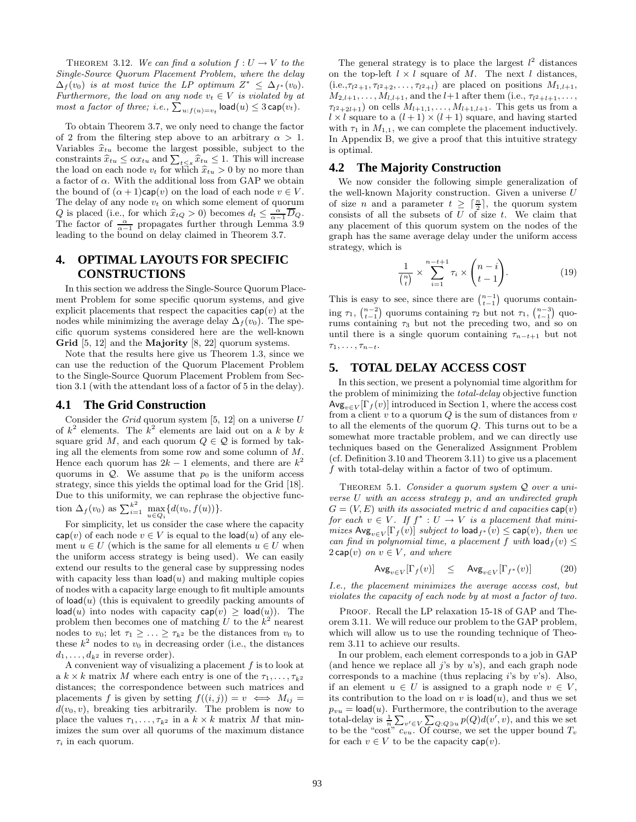THEOREM 3.12. *We can find a solution*  $f: U \to V$  *to the Single-Source Quorum Placement Problem, where the delay*  $\Delta_f(v_0)$  *is at most twice the LP optimum*  $Z^* \leq \Delta_{f^*}(v_0)$ . *Furthermore, the load on any node*  $v_t \in V$  *is violated by at most a factor of three; i.e.,*  $\sum_{u:f(u)=v_t} \textsf{load}(u) \leq 3 \textsf{cap}(v_t)$ *.* 

To obtain Theorem 3.7, we only need to change the factor of 2 from the filtering step above to an arbitrary  $\alpha > 1$ . Variables  $\hat{x}_{tu}$  become the largest possible, subject to the constraints  $\hat{x}_{tu} \leq \alpha x_{tu}$  and  $\sum_{t \leq s} \hat{x}_{tu} \leq 1$ . This will increase the load on each node  $v_t$  for which  $\hat{x}_{tu} > 0$  by no more than a factor of  $\alpha$ . With the additional loss from GAP we obtain the bound of  $(\alpha + 1)$ cap $(v)$  on the load of each node  $v \in V$ . The delay of any node  $v_t$  on which some element of quorum Q is placed (i.e., for which  $\hat{x}_{tQ} > 0$ ) becomes  $d_t \leq \frac{\alpha}{\alpha - 1} D_Q$ .<br>The factor of  $\frac{\alpha}{\alpha}$  propagates further through Lemma 3.9 The factor of  $\frac{\alpha}{\alpha-1}$  propagates further through Lemma 3.9 leading to the bound on delay claimed in Theorem 3.7.

# **4. OPTIMAL LAYOUTS FOR SPECIFIC CONSTRUCTIONS**

In this section we address the Single-Source Quorum Placement Problem for some specific quorum systems, and give explicit placements that respect the capacities  $cap(v)$  at the nodes while minimizing the average delay  $\Delta_f(v_0)$ . The specific quorum systems considered here are the well-known **Grid** [5, 12] and the **Majority** [8, 22] quorum systems.

Note that the results here give us Theorem 1.3, since we can use the reduction of the Quorum Placement Problem to the Single-Source Quorum Placement Problem from Section 3.1 (with the attendant loss of a factor of 5 in the delay).

## **4.1 The Grid Construction**

Consider the *Grid* quorum system [5, 12] on a universe U of  $k^2$  elements. The  $k^2$  elements are laid out on a k by k square grid M, and each quorum  $Q \in \mathcal{Q}$  is formed by taking all the elements from some row and some column of M. Hence each quorum has  $2k - 1$  elements, and there are  $k^2$ quorums in  $Q$ . We assume that  $p_0$  is the uniform access strategy, since this yields the optimal load for the Grid [18]. Due to this uniformity, we can rephrase the objective function  $\Delta_f(v_0)$  as  $\sum_{i=1}^{k^2} \max_{u \in Q_i}$ <br>For simplicity let us  $\{d(v_0, f(u))\}.$ 

For simplicity, let us consider the case where the capacity  $cap(v)$  of each node  $v \in V$  is equal to the load(u) of any element  $u \in U$  (which is the same for all elements  $u \in U$  when the uniform access strategy is being used). We can easily extend our results to the general case by suppressing nodes with capacity less than  $\text{load}(u)$  and making multiple copies of nodes with a capacity large enough to fit multiple amounts of  $\text{load}(u)$  (this is equivalent to greedily packing amounts of  $\textsf{load}(u)$  into nodes with capacity  $\textsf{cap}(v) \geq \textsf{load}(u)$ . The problem then becomes one of matching  $U$  to the  $k^2$  nearest nodes to  $v_0$ ; let  $\tau_1 \geq \ldots \geq \tau_{k^2}$  be the distances from  $v_0$  to these  $k^2$  nodes to  $v_0$  in decreasing order (i.e., the distances  $d_1,\ldots,d_{k^2}$  in reverse order).

A convenient way of visualizing a placement f is to look at a  $k \times k$  matrix M where each entry is one of the  $\tau_1, \ldots, \tau_{k^2}$ distances; the correspondence between such matrices and placements f is given by setting  $f((i, j)) = v \iff M_{ij} =$  $d(v_0, v)$ , breaking ties arbitrarily. The problem is now to place the values  $\tau_1,\ldots,\tau_{k^2}$  in a  $k \times k$  matrix M that minimizes the sum over all quorums of the maximum distance  $\tau_i$  in each quorum.

The general strategy is to place the largest  $l^2$  distances on the top-left  $l \times l$  square of M. The next l distances,  $(i.e., \tau_{l^2+1}, \tau_{l^2+2},..., \tau_{l^2+l})$  are placed on positions  $M_{1,l+1}$ ,  $M_{2,l+1},...,M_{l,l+1}$ , and the  $l+1$  after them (i.e.,  $\tau_{l^2+l+1},...,$  $\tau_{l^2+2l+1}$ ) on cells  $M_{l+1,1},\ldots,M_{l+1,l+1}$ . This gets us from a  $l \times l$  square to a  $(l + 1) \times (l + 1)$  square, and having started with  $\tau_1$  in  $M_{1,1}$ , we can complete the placement inductively. In Appendix B, we give a proof that this intuitive strategy is optimal.

## **4.2 The Majority Construction**

We now consider the following simple generalization of the well-known Majority construction. Given a universe U of size *n* and a parameter  $t \geq \lceil \frac{n}{2} \rceil$ , the quorum system consists of all the subsets of  $U$  of size  $t$ . We claim that any placement of this quorum system on the nodes of the graph has the same average delay under the uniform access strategy, which is

$$
\frac{1}{\binom{n}{t}} \times \sum_{i=1}^{n-t+1} \tau_i \times \binom{n-i}{t-1}.\tag{19}
$$

This is easy to see, since there are  $\binom{n-1}{t-1}$  quorums contain-<br>time  $\binom{n-2}{t}$  measure containing  $\binom{n-1}{t}$  distribution  $\binom{n-3}{t}$  and ing  $\tau_1$ ,  $\binom{n-2}{t-1}$  quorums containing  $\tau_2$  but not  $\tau_1$ ,  $\binom{n-3}{t-1}$  quorums containing  $\tau_2$  but not the preceding two and so on rums containing  $\tau_3$  but not the preceding two, and so on until there is a single quorum containing  $\tau_{n-t+1}$  but not  $\tau_1,\ldots,\tau_{n-t}.$ 

## **5. TOTAL DELAY ACCESS COST**

In this section, we present a polynomial time algorithm for the problem of minimizing the *total-delay* objective function  $\mathsf{Avg}_{v \in V}[\Gamma_f(v)]$  introduced in Section 1, where the access cost from a client u to a quorum Q is the sum of distances from u from a client  $v$  to a quorum  $Q$  is the sum of distances from  $v$ to all the elements of the quorum Q. This turns out to be a somewhat more tractable problem, and we can directly use techniques based on the Generalized Assignment Problem (cf. Definition 3.10 and Theorem 3.11) to give us a placement f with total-delay within a factor of two of optimum.

Theorem 5.1. *Consider a quorum system* Q *over a universe* U *with an access strategy* p*, and an undirected graph*  $G = (V, E)$  *with its associated metric d and capacities*  $cap(v)$ *for each*  $v \in V$ *. If*  $f^* : U \to V$  *is a placement that minimizes*  $\text{Avg}_{v \in V}[\Gamma_f(v)]$  *subject to*  $\text{load}_{f^*(v)} \leq \text{cap}(v)$ *, then we*<br>can find in polynomial time, a placement f, with  $\text{load}_v(v)$ *can find in polynomial time, a placement*  $f$  *with*  $\text{load}_f(v) \leq$  $2 \text{cap}(v)$  *on*  $v \in V$ *, and where* 

$$
\mathsf{Avg}_{v \in V}[\Gamma_f(v)] \leq \mathsf{Avg}_{v \in V}[\Gamma_{f^*}(v)] \tag{20}
$$

*I.e., the placement minimizes the average access cost, but violates the capacity of each node by at most a factor of two.*

PROOF. Recall the LP relaxation 15-18 of GAP and Theorem 3.11. We will reduce our problem to the GAP problem, which will allow us to use the rounding technique of Theorem 3.11 to achieve our results.

In our problem, each element corresponds to a job in GAP (and hence we replace all  $i$ 's by  $u$ 's), and each graph node corresponds to a machine (thus replacing  $i$ 's by  $v$ 's). Also, if an element  $u \in U$  is assigned to a graph node  $v \in V$ , its contribution to the load on v is  $\text{load}(u)$ , and thus we set  $p_{vu} = \text{load}(u)$ . Furthermore, the contribution to the average total-delay is  $\frac{1}{n} \sum_{v' \in V} \sum_{Q: Q \ni u} p(Q) d(v', v)$ , and this we set<br>to be the "cost" configures we set the upper bound T to be the "cost"  $c_{vu}$ . Of course, we set the upper bound  $T_v$ for each  $v \in V$  to be the capacity  $cap(v)$ .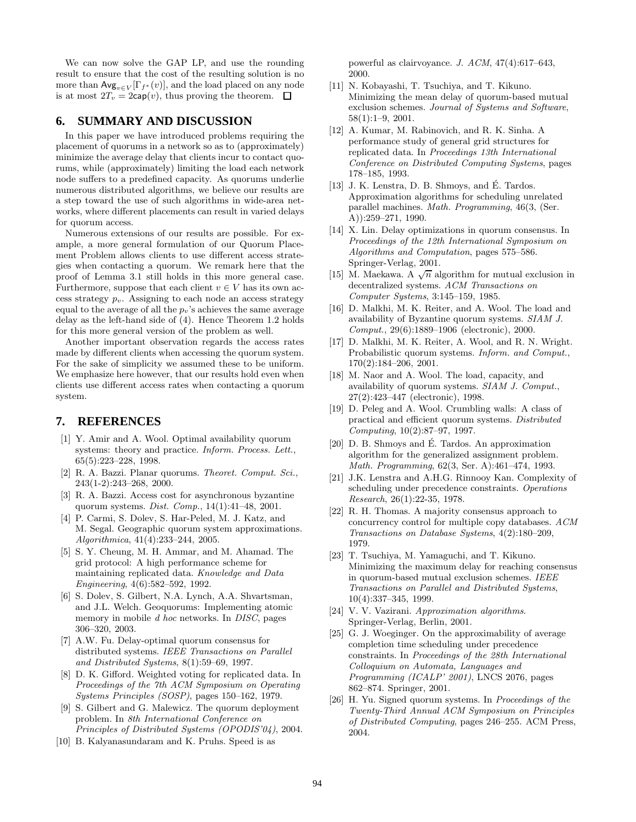We can now solve the GAP LP, and use the rounding result to ensure that the cost of the resulting solution is no more than  $\mathsf{Avg}_{v \in V}[\Gamma_{f^*}(v)]$ , and the load placed on any node<br>is at most  $2T = 2\mathsf{cap}(v)$ , thus proving the theorem is at most  $2T_v = 2\text{cap}(v)$ , thus proving the theorem.  $\Box$ 

## **6. SUMMARY AND DISCUSSION**

In this paper we have introduced problems requiring the placement of quorums in a network so as to (approximately) minimize the average delay that clients incur to contact quorums, while (approximately) limiting the load each network node suffers to a predefined capacity. As quorums underlie numerous distributed algorithms, we believe our results are a step toward the use of such algorithms in wide-area networks, where different placements can result in varied delays for quorum access.

Numerous extensions of our results are possible. For example, a more general formulation of our Quorum Placement Problem allows clients to use different access strategies when contacting a quorum. We remark here that the proof of Lemma 3.1 still holds in this more general case. Furthermore, suppose that each client  $v \in V$  has its own access strategy  $p_v$ . Assigning to each node an access strategy equal to the average of all the  $p_v$ 's achieves the same average delay as the left-hand side of (4). Hence Theorem 1.2 holds for this more general version of the problem as well.

Another important observation regards the access rates made by different clients when accessing the quorum system. For the sake of simplicity we assumed these to be uniform. We emphasize here however, that our results hold even when clients use different access rates when contacting a quorum system.

## **7. REFERENCES**

- [1] Y. Amir and A. Wool. Optimal availability quorum systems: theory and practice. *Inform. Process. Lett.*, 65(5):223–228, 1998.
- [2] R. A. Bazzi. Planar quorums. *Theoret. Comput. Sci.*, 243(1-2):243–268, 2000.
- [3] R. A. Bazzi. Access cost for asynchronous byzantine quorum systems. *Dist. Comp.*, 14(1):41–48, 2001.
- [4] P. Carmi, S. Dolev, S. Har-Peled, M. J. Katz, and M. Segal. Geographic quorum system approximations. *Algorithmica*, 41(4):233–244, 2005.
- [5] S. Y. Cheung, M. H. Ammar, and M. Ahamad. The grid protocol: A high performance scheme for maintaining replicated data. *Knowledge and Data Engineering*, 4(6):582–592, 1992.
- [6] S. Dolev, S. Gilbert, N.A. Lynch, A.A. Shvartsman, and J.L. Welch. Geoquorums: Implementing atomic memory in mobile *d hoc* networks. In *DISC*, pages 306–320, 2003.
- [7] A.W. Fu. Delay-optimal quorum consensus for distributed systems. *IEEE Transactions on Parallel and Distributed Systems*, 8(1):59–69, 1997.
- [8] D. K. Gifford. Weighted voting for replicated data. In *Proceedings of the 7th ACM Symposium on Operating Systems Principles (SOSP)*, pages 150–162, 1979.
- [9] S. Gilbert and G. Malewicz. The quorum deployment problem. In *8th International Conference on Principles of Distributed Systems (OPODIS'04)*, 2004.
- [10] B. Kalyanasundaram and K. Pruhs. Speed is as

powerful as clairvoyance. *J. ACM*, 47(4):617–643, 2000.

- [11] N. Kobayashi, T. Tsuchiya, and T. Kikuno. Minimizing the mean delay of quorum-based mutual exclusion schemes. *Journal of Systems and Software*, 58(1):1–9, 2001.
- [12] A. Kumar, M. Rabinovich, and R. K. Sinha. A performance study of general grid structures for replicated data. In *Proceedings 13th International Conference on Distributed Computing Systems*, pages 178–185, 1993.
- [13] J. K. Lenstra, D. B. Shmoys, and É. Tardos. Approximation algorithms for scheduling unrelated parallel machines. *Math. Programming*, 46(3, (Ser. A)):259–271, 1990.
- [14] X. Lin. Delay optimizations in quorum consensus. In *Proceedings of the 12th International Symposium on Algorithms and Computation*, pages 575–586. Springer-Verlag, 2001.
- [15] M. Maekawa. A  $\sqrt{n}$  algorithm for mutual exclusion in decentralized systems. *ACM Transactions on Computer Systems*, 3:145–159, 1985.
- [16] D. Malkhi, M. K. Reiter, and A. Wool. The load and availability of Byzantine quorum systems. *SIAM J. Comput.*, 29(6):1889–1906 (electronic), 2000.
- [17] D. Malkhi, M. K. Reiter, A. Wool, and R. N. Wright. Probabilistic quorum systems. *Inform. and Comput.*, 170(2):184–206, 2001.
- [18] M. Naor and A. Wool. The load, capacity, and availability of quorum systems. *SIAM J. Comput.*, 27(2):423–447 (electronic), 1998.
- [19] D. Peleg and A. Wool. Crumbling walls: A class of practical and efficient quorum systems. *Distributed Computing*, 10(2):87–97, 1997.
- [20] D. B. Shmoys and  $\acute{E}$ . Tardos. An approximation algorithm for the generalized assignment problem. *Math. Programming*, 62(3, Ser. A):461–474, 1993.
- [21] J.K. Lenstra and A.H.G. Rinnooy Kan. Complexity of scheduling under precedence constraints. *Operations Research*, 26(1):22-35, 1978.
- [22] R. H. Thomas. A majority consensus approach to concurrency control for multiple copy databases. *ACM Transactions on Database Systems*, 4(2):180–209, 1979.
- [23] T. Tsuchiya, M. Yamaguchi, and T. Kikuno. Minimizing the maximum delay for reaching consensus in quorum-based mutual exclusion schemes. *IEEE Transactions on Parallel and Distributed Systems*, 10(4):337–345, 1999.
- [24] V. V. Vazirani. *Approximation algorithms*. Springer-Verlag, Berlin, 2001.
- [25] G. J. Woeginger. On the approximability of average completion time scheduling under precedence constraints. In *Proceedings of the 28th International Colloquium on Automata, Languages and Programming (ICALP' 2001)*, LNCS 2076, pages 862–874. Springer, 2001.
- [26] H. Yu. Signed quorum systems. In *Proceedings of the Twenty-Third Annual ACM Symposium on Principles of Distributed Computing*, pages 246–255. ACM Press, 2004.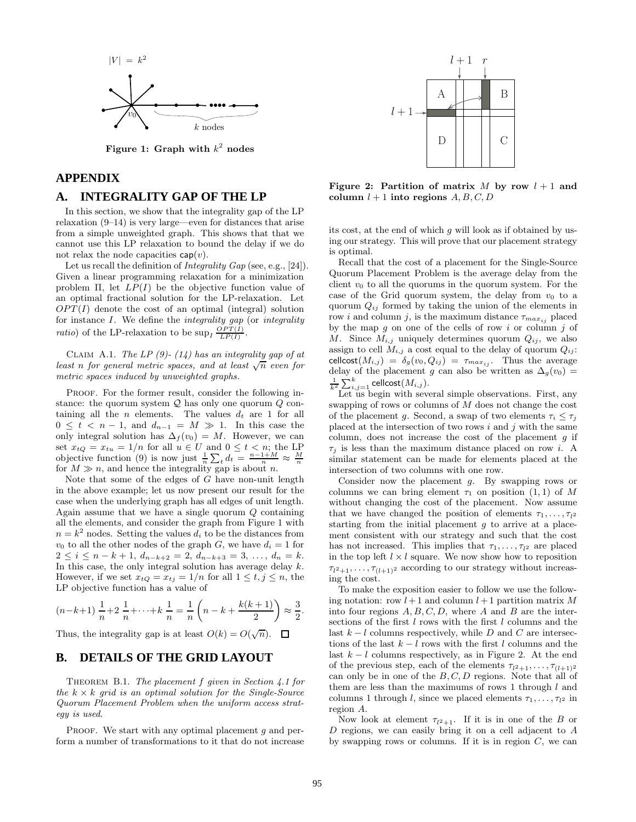

**Figure 1:** Graph with  $k^2$  nodes

## **APPENDIX**

## **A. INTEGRALITY GAP OF THE LP**

In this section, we show that the integrality gap of the LP relaxation (9–14) is very large—even for distances that arise from a simple unweighted graph. This shows that that we cannot use this LP relaxation to bound the delay if we do not relax the node capacities  $cap(v)$ .

Let us recall the definition of *Integrality Gap* (see, e.g., [24]). Given a linear programming relaxation for a minimization problem  $\Pi$ , let  $LP(I)$  be the objective function value of an optimal fractional solution for the LP-relaxation. Let  $OPT(I)$  denote the cost of an optimal (integral) solution for instance I. We define the *integrality gap* (or *integrality ratio*) of the LP-relaxation to be  $\sup_{I} \frac{OPT(I)}{LP(I)}$ .

Claim A.1. *The LP (9)- (14) has an integrality gap of at least* n for general metric spaces, and at least  $\sqrt{n}$  even for *metric spaces induced by unweighted graphs.*

PROOF. For the former result, consider the following instance: the quorum system  $Q$  has only one quorum  $Q$  containing all the  $n$  elements. The values  $d_t$  are 1 for all  $0 \leq t \leq n-1$ , and  $d_{n-1} = M \gg 1$ . In this case the only integral solution has  $\Delta_f(v_0) = M$ . However, we can set  $x_{tQ} = x_{tu} = 1/n$  for all  $u \in U$  and  $0 \leq t < n$ ; the LP objective function (9) is now just  $\frac{1}{n} \sum_t d_t = \frac{n-1+M}{n} \approx \frac{M}{n}$ <br>for  $M \gg n$  and hence the integrality gap is about n for  $M \gg n$ , and hence the integrality gap is about n.

Note that some of the edges of  $G$  have non-unit length in the above example; let us now present our result for the case when the underlying graph has all edges of unit length. Again assume that we have a single quorum Q containing all the elements, and consider the graph from Figure 1 with  $n = k^2$  nodes. Setting the values  $d_i$  to be the distances from  $v_0$  to all the other nodes of the graph G, we have  $d_i = 1$  for  $2 \leq i \leq n-k+1, d_{n-k+2} = 2, d_{n-k+3} = 3, \ldots, d_n = k.$ In this case, the only integral solution has average delay  $k$ . However, if we set  $x_{tQ} = x_{tj} = 1/n$  for all  $1 \leq t, j \leq n$ , the LP objective function has a value of

$$
(n-k+1)\frac{1}{n} + 2\frac{1}{n} + \dots + k\frac{1}{n} = \frac{1}{n}\left(n-k+\frac{k(k+1)}{2}\right) \approx \frac{3}{2}.\qquad \frac{\text{ii}}{\text{si}}
$$

Thus, the integrality gap is at least  $O(k) = O(\sqrt{n}).$ 

## **B. DETAILS OF THE GRID LAYOUT**

Theorem B.1. *The placement* f *given in Section 4.1 for the*  $k \times k$  *grid is an optimal solution for the Single-Source Quorum Placement Problem when the uniform access strategy is used.*

PROOF. We start with any optimal placement  $g$  and perform a number of transformations to it that do not increase



**Figure 2:** Partition of matrix M by row  $l + 1$  and **column**  $l + 1$  **into regions**  $A, B, C, D$ 

its cost, at the end of which g will look as if obtained by using our strategy. This will prove that our placement strategy is optimal.

Recall that the cost of a placement for the Single-Source Quorum Placement Problem is the average delay from the client  $v_0$  to all the quorums in the quorum system. For the case of the Grid quorum system, the delay from  $v_0$  to a quorum  $Q_{ij}$  formed by taking the union of the elements in row i and column j, is the maximum distance  $\tau_{max_{ij}}$  placed by the map  $g$  on one of the cells of row  $i$  or column  $j$  of M. Since  $M_{i,j}$  uniquely determines quorum  $Q_{ij}$ , we also assign to cell  $M_{i,j}$  a cost equal to the delay of quorum  $Q_{ij}$ : cellcost $(M_{i,j}) = \delta_g(v_0, Q_{ij}) = \tau_{max_{ij}}$ . Thus the average delay of the placement g can also be written as  $\Delta_g(v_0)$  =  $\frac{1}{k^2} \sum_{i,j=1}^k$  cellcost $(M_{i,j}).$ <br>Let us begin with sever

Let us begin with several simple observations. First, any swapping of rows or columns of M does not change the cost of the placement g. Second, a swap of two elements  $\tau_i \leq \tau_j$ placed at the intersection of two rows  $i$  and  $j$  with the same column, does not increase the cost of the placement  $g$  if  $\tau_j$  is less than the maximum distance placed on row i. A similar statement can be made for elements placed at the intersection of two columns with one row.

Consider now the placement g. By swapping rows or columns we can bring element  $\tau_1$  on position  $(1, 1)$  of M without changing the cost of the placement. Now assume that we have changed the position of elements  $\tau_1, \ldots, \tau_{l^2}$ starting from the initial placement  $g$  to arrive at a placement consistent with our strategy and such that the cost has not increased. This implies that  $\tau_1, \ldots, \tau_{l^2}$  are placed in the top left  $l \times l$  square. We now show how to reposition  $\tau_{l^2+1},\ldots,\tau_{(l+1)^2}$  according to our strategy without increasing the cost.

To make the exposition easier to follow we use the following notation: row  $l+1$  and column  $l+1$  partition matrix M into four regions  $A, B, C, D$ , where A and B are the intersections of the first  $l$  rows with the first  $l$  columns and the last  $k - l$  columns respectively, while D and C are intersections of the last  $k - l$  rows with the first l columns and the last  $k - l$  columns respectively, as in Figure 2. At the end of the previous step, each of the elements  $\tau_{l^2+1},\ldots,\tau_{(l+1)^2}$ can only be in one of the B, C, D regions. Note that all of them are less than the maximums of rows 1 through  $l$  and columns 1 through l, since we placed elements  $\tau_1, \ldots, \tau_{l^2}$  in region A.

Now look at element  $\tau_{l^2+1}$ . If it is in one of the B or D regions, we can easily bring it on a cell adjacent to A by swapping rows or columns. If it is in region  $C$ , we can